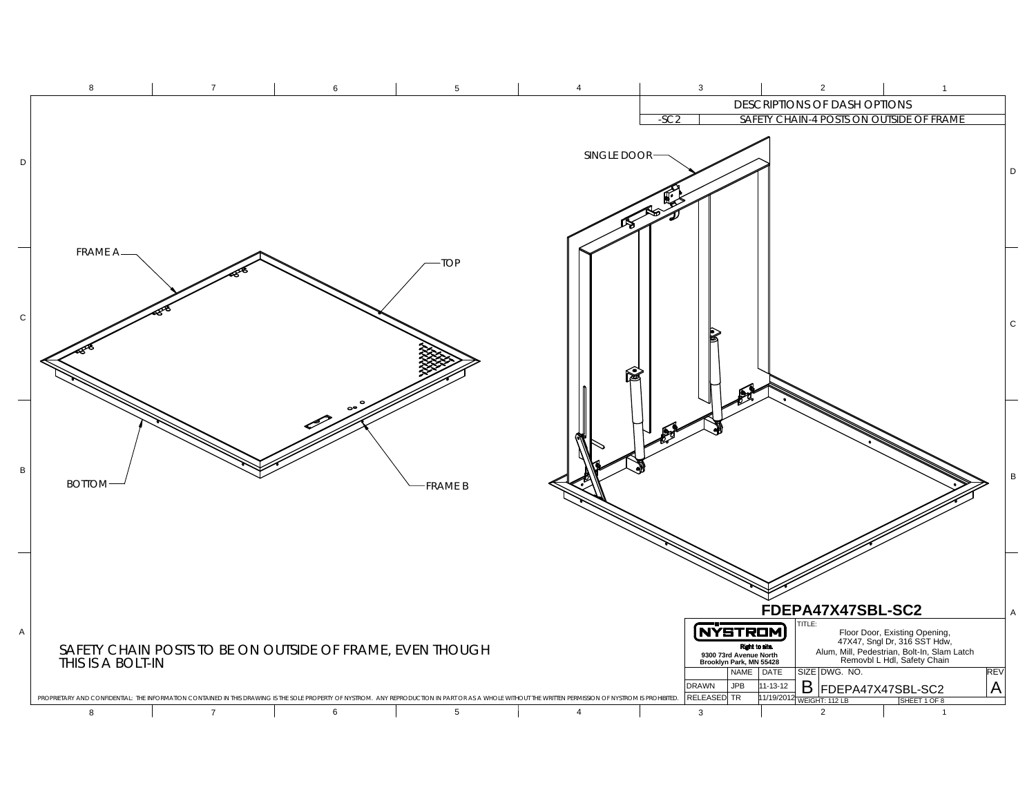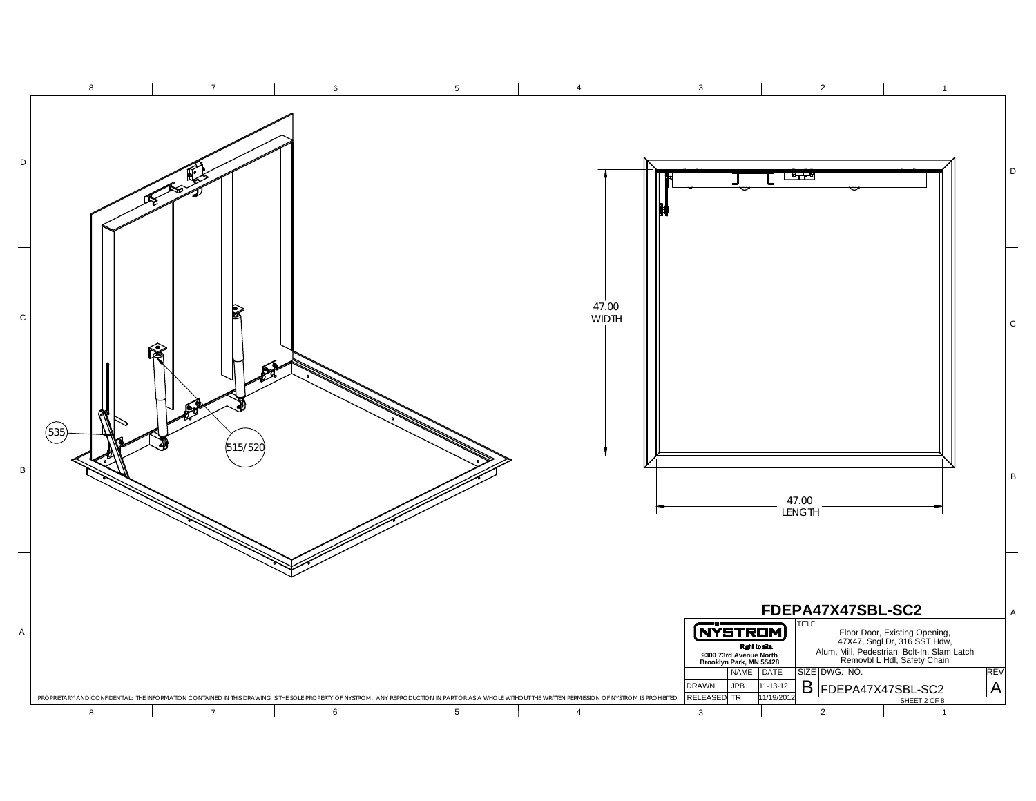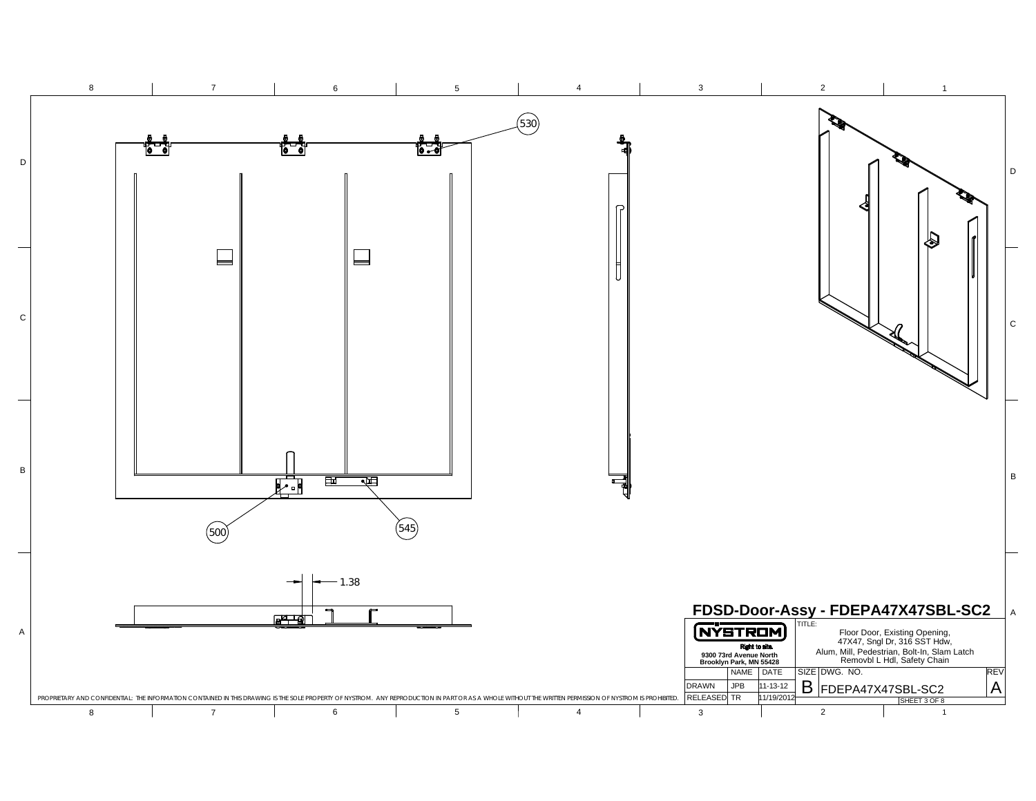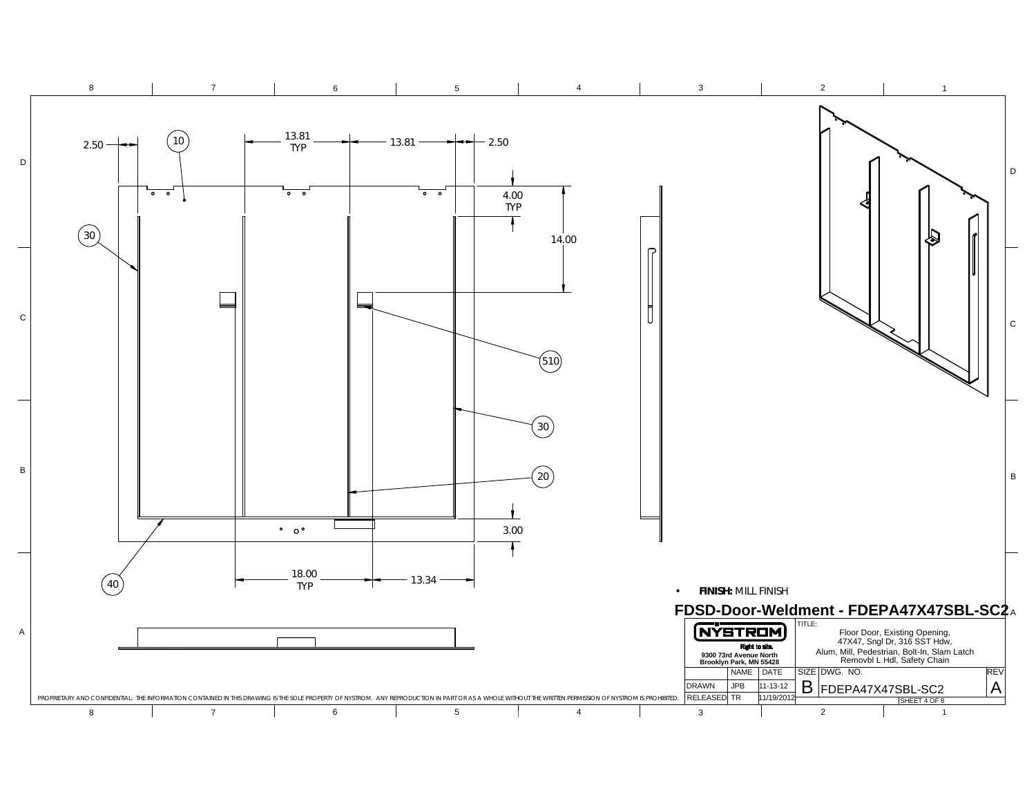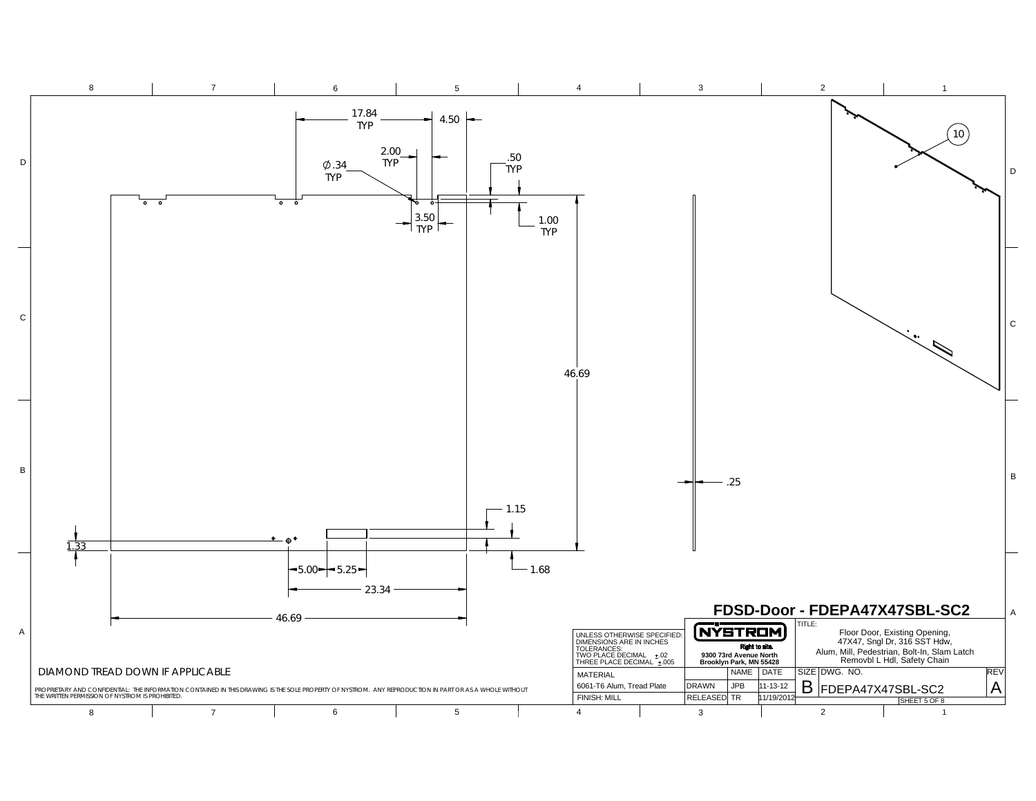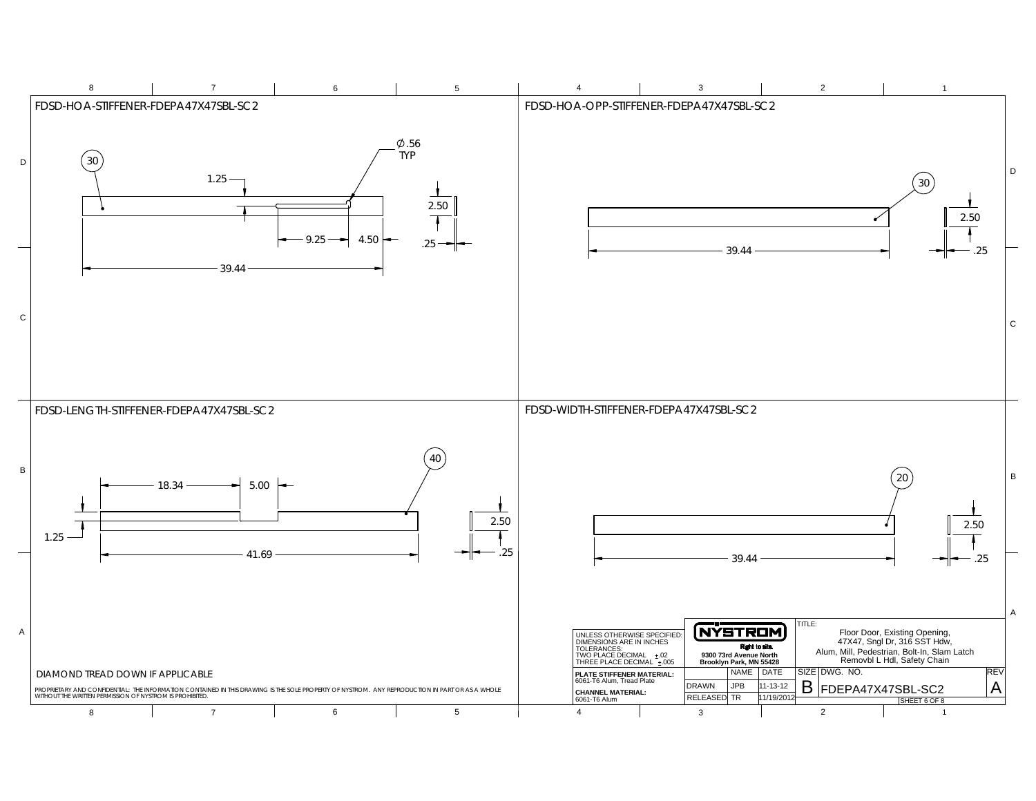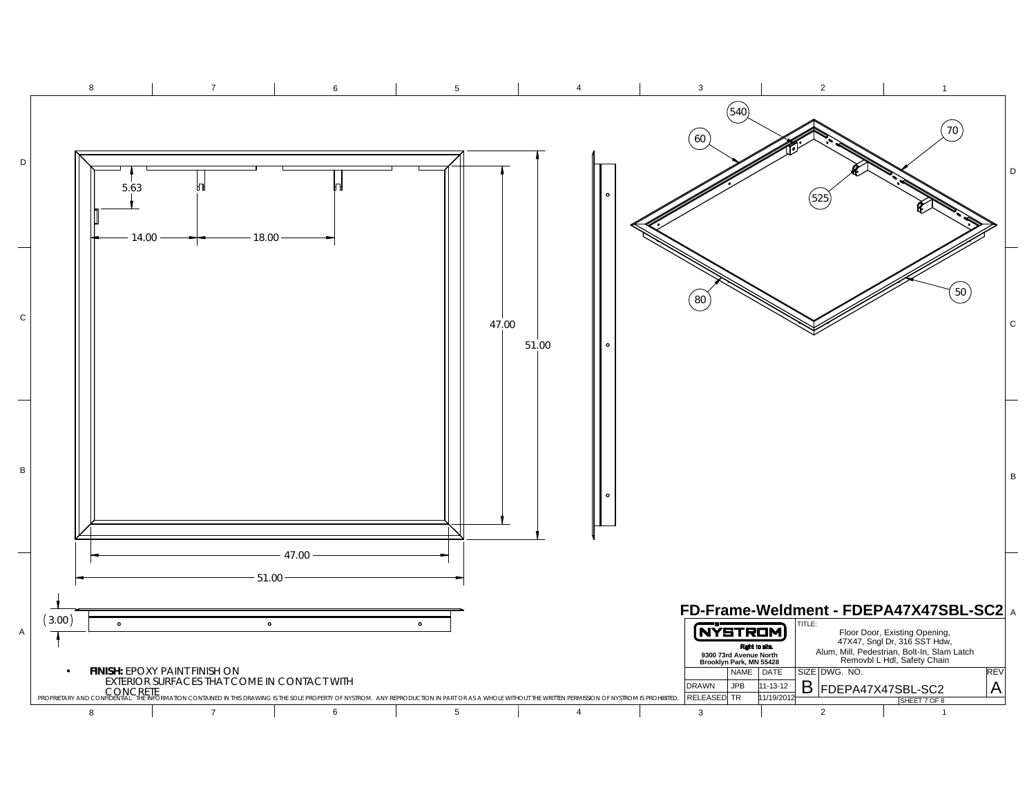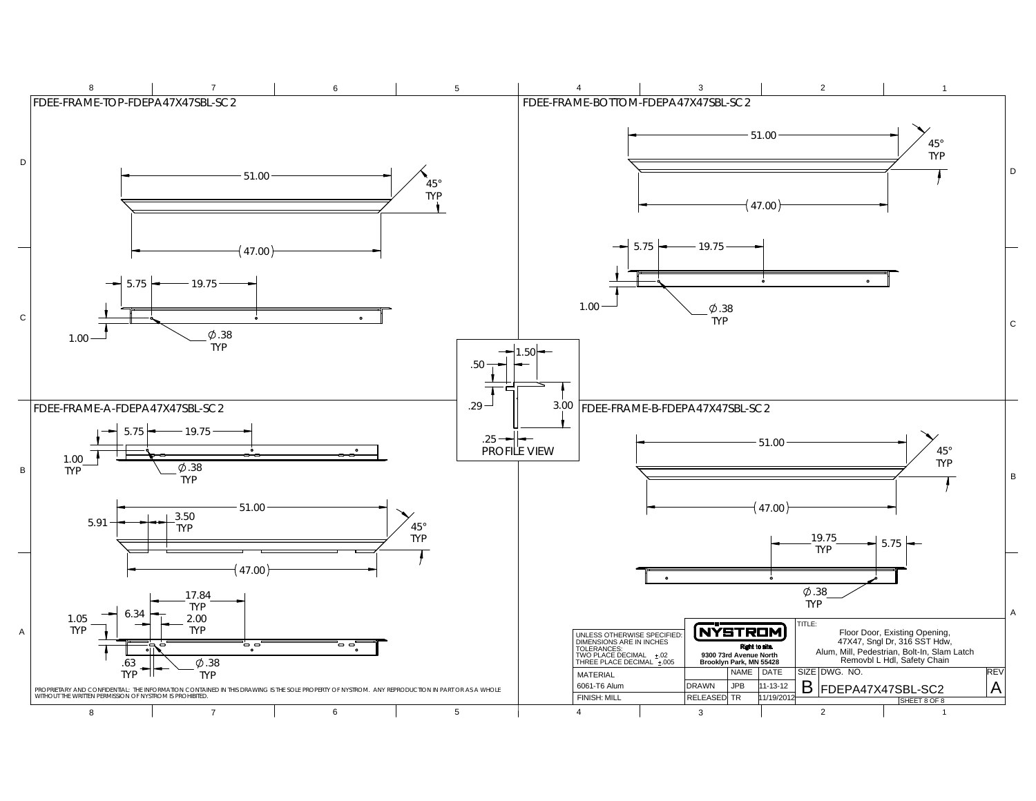